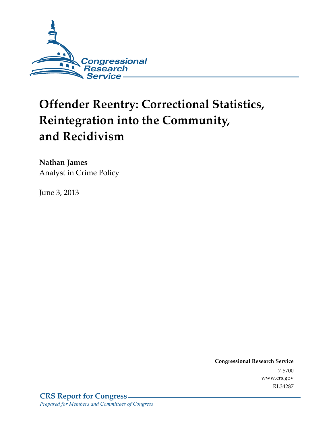

# **Offender Reentry: Correctional Statistics, Reintegration into the Community, and Recidivism**

**Nathan James**  Analyst in Crime Policy

June 3, 2013

**Congressional Research Service**  7-5700 www.crs.gov RL34287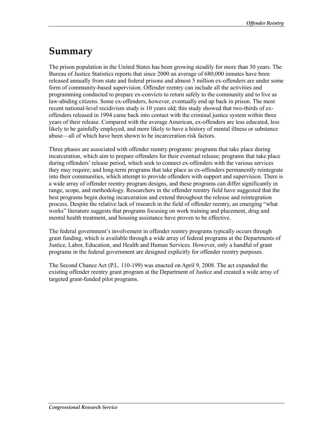# **Summary**

The prison population in the United States has been growing steadily for more than 30 years. The Bureau of Justice Statistics reports that since 2000 an average of 680,000 inmates have been released annually from state and federal prisons and almost 5 million ex-offenders are under some form of community-based supervision. Offender reentry can include all the activities and programming conducted to prepare ex-convicts to return safely to the community and to live as law-abiding citizens. Some ex-offenders, however, eventually end up back in prison. The most recent national-level recidivism study is 10 years old; this study showed that two-thirds of exoffenders released in 1994 came back into contact with the criminal justice system within three years of their release. Compared with the average American, ex-offenders are less educated, less likely to be gainfully employed, and more likely to have a history of mental illness or substance abuse—all of which have been shown to be incarceration risk factors.

Three phases are associated with offender reentry programs: programs that take place during incarceration, which aim to prepare offenders for their eventual release; programs that take place during offenders' release period, which seek to connect ex-offenders with the various services they may require; and long-term programs that take place as ex-offenders permanently reintegrate into their communities, which attempt to provide offenders with support and supervision. There is a wide array of offender reentry program designs, and these programs can differ significantly in range, scope, and methodology. Researchers in the offender reentry field have suggested that the best programs begin during incarceration and extend throughout the release and reintegration process. Despite the relative lack of research in the field of offender reentry, an emerging "what works" literature suggests that programs focusing on work training and placement, drug and mental health treatment, and housing assistance have proven to be effective.

The federal government's involvement in offender reentry programs typically occurs through grant funding, which is available through a wide array of federal programs at the Departments of Justice, Labor, Education, and Health and Human Services. However, only a handful of grant programs in the federal government are designed explicitly for offender reentry purposes.

The Second Chance Act (P.L. 110-199) was enacted on April 9, 2008. The act expanded the existing offender reentry grant program at the Department of Justice and created a wide array of targeted grant-funded pilot programs.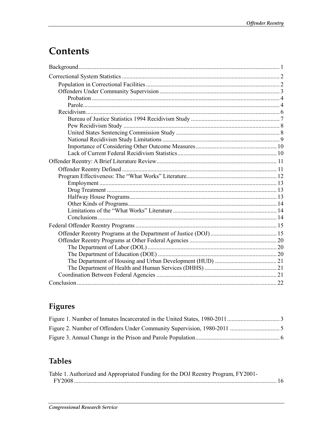# Contents

# Figures

# **Tables**

| Table 1. Authorized and Appropriated Funding for the DOJ Reentry Program, FY2001- |  |
|-----------------------------------------------------------------------------------|--|
|                                                                                   |  |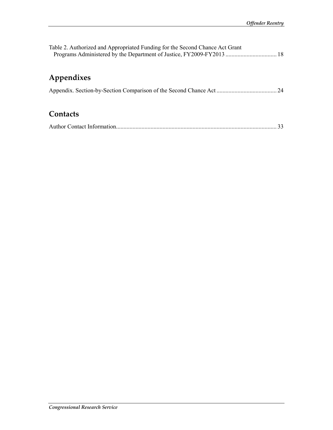| Table 2. Authorized and Appropriated Funding for the Second Chance Act Grant<br>Programs Administered by the Department of Justice, FY2009-FY2013  18 |    |
|-------------------------------------------------------------------------------------------------------------------------------------------------------|----|
| Appendixes                                                                                                                                            |    |
|                                                                                                                                                       | 24 |
| Contacts                                                                                                                                              |    |
|                                                                                                                                                       | 33 |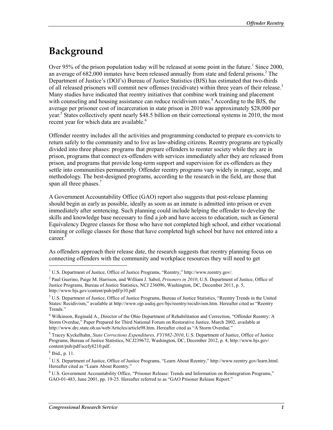# **Background**

Over 95% of the prison population today will be released at some point in the future.<sup>1</sup> Since 2000, an average of  $682,000$  inmates have been released annually from state and federal prisons.<sup>2</sup> The Department of Justice's (DOJ's) Bureau of Justice Statistics (BJS) has estimated that two-thirds of all released prisoners will commit new offenses (recidivate) within three years of their release.<sup>3</sup> Many studies have indicated that reentry initiatives that combine work training and placement with counseling and housing assistance can reduce recidivism rates.<sup>4</sup> According to the BJS, the average per prisoner cost of incarceration in state prison in 2010 was approximately \$28,000 per year.<sup>5</sup> States collectively spent nearly \$48.5 billion on their correctional systems in 2010, the most recent year for which data are available.<sup>6</sup>

Offender reentry includes all the activities and programming conducted to prepare ex-convicts to return safely to the community and to live as law-abiding citizens. Reentry programs are typically divided into three phases: programs that prepare offenders to reenter society while they are in prison, programs that connect ex-offenders with services immediately after they are released from prison, and programs that provide long-term support and supervision for ex-offenders as they settle into communities permanently. Offender reentry programs vary widely in range, scope, and methodology. The best-designed programs, according to the research in the field, are those that span all three phases.<sup>7</sup>

A Government Accountability Office (GAO) report also suggests that post-release planning should begin as early as possible, ideally as soon as an inmate is admitted into prison or even immediately after sentencing. Such planning could include helping the offender to develop the skills and knowledge base necessary to find a job and have access to education, such as General Equivalency Degree classes for those who have not completed high school, and either vocational training or college classes for those that have completed high school but have not entered into a career.<sup>8</sup>

As offenders approach their release date, the research suggests that reentry planning focus on connecting offenders with the community and workplace resources they will need to get

<sup>&</sup>lt;sup>1</sup> U.S. Department of Justice, Office of Justice Programs, "Reentry," http://www.reentry.gov/.

<sup>2</sup> Paul Guerino, Paige M. Harrison, and William J. Sabol, *Prisoners in 2010*, U.S. Department of Justice, Office of Justice Programs, Bureau of Justice Statistics, NCJ 236096, Washington, DC, December 2011, p. 5, http://www.bjs.gov/content/pub/pdf/p10.pdf

<sup>&</sup>lt;sup>3</sup> U.S. Department of Justice, Office of Justice Programs, Bureau of Justice Statistics, "Reentry Trends in the United States: Recidivism," available at http://www.ojp.usdoj.gov/bjs/reentry/recidivism.htm. Hereafter cited as "Reentry Trends."

<sup>4</sup> Wilkinson, Reginald A., Director of the Ohio Department of Rehabilitation and Correction, "Offender Reentry: A Storm Overdue," Paper Prepared for Third National Forum on Restorative Justice, March 2002, available at http://www.drc.state.oh.us/web/Articles/article98.htm. Hereafter cited as "A Storm Overdue."

<sup>5</sup> Tracey Kyckelhahn, *State Corrections Expenditures, FY1982-2010*, U.S. Department of Justice, Office of Justice Programs, Bureau of Justice Statistics, NCJ239672, Washington, DC, December 2012, p. 4, http://www.bjs.gov/ content/pub/pdf/scefy8210.pdf.

<sup>6</sup> Ibid., p. 11.

<sup>7</sup> U.S. Department of Justice, Office of Justice Programs, "Learn About Reentry," http://www.reentry.gov/learn.html. Hereafter cited as "Learn About Reentry."

<sup>&</sup>lt;sup>8</sup> U.S. Government Accountability Office, "Prisoner Release: Trends and Information on Reintegration Programs," GAO-01-483, June 2001, pp. 19-25. Hereafter referred to as "GAO Prisoner Release Report."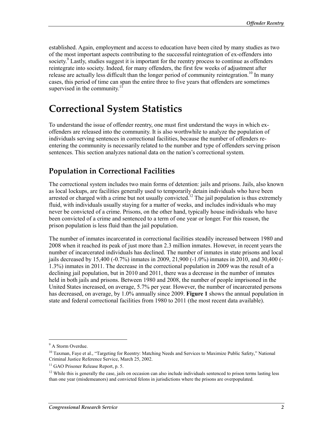established. Again, employment and access to education have been cited by many studies as two of the most important aspects contributing to the successful reintegration of ex-offenders into society.<sup>9</sup> Lastly, studies suggest it is important for the reentry process to continue as offenders reintegrate into society. Indeed, for many offenders, the first few weeks of adjustment after release are actually less difficult than the longer period of community reintegration.<sup>10</sup> In many cases, this period of time can span the entire three to five years that offenders are sometimes supervised in the community. $11$ 

# **Correctional System Statistics**

To understand the issue of offender reentry, one must first understand the ways in which exoffenders are released into the community. It is also worthwhile to analyze the population of individuals serving sentences in correctional facilities, because the number of offenders reentering the community is necessarily related to the number and type of offenders serving prison sentences. This section analyzes national data on the nation's correctional system.

### **Population in Correctional Facilities**

The correctional system includes two main forms of detention: jails and prisons. Jails, also known as local lockups, are facilities generally used to temporarily detain individuals who have been arrested or charged with a crime but not usually convicted.<sup>12</sup> The jail population is thus extremely fluid, with individuals usually staying for a matter of weeks, and includes individuals who may never be convicted of a crime. Prisons, on the other hand, typically house individuals who have been convicted of a crime and sentenced to a term of one year or longer. For this reason, the prison population is less fluid than the jail population.

The number of inmates incarcerated in correctional facilities steadily increased between 1980 and 2008 when it reached its peak of just more than 2.3 million inmates. However, in recent years the number of incarcerated individuals has declined. The number of inmates in state prisons and local jails decreased by 15,400 (-0.7%) inmates in 2009, 21,900 (-1.0%) inmates in 2010, and 30,400 (- 1.3%) inmates in 2011. The decrease in the correctional population in 2009 was the result of a declining jail population, but in 2010 and 2011, there was a decrease in the number of inmates held in both jails and prisons. Between 1980 and 2008, the number of people imprisoned in the United States increased, on average, 5.7% per year. However, the number of incarcerated persons has decreased, on average, by 1.0% annually since 2009. **Figure 1** shows the annual population in state and federal correctional facilities from 1980 to 2011 (the most recent data available).

 $\overline{a}$ 

<sup>&</sup>lt;sup>9</sup> A Storm Overdue.

<sup>&</sup>lt;sup>10</sup> Taxman, Faye et al., "Targeting for Reentry: Matching Needs and Services to Maximize Public Safety," National Criminal Justice Reference Service, March 25, 2002.

<sup>&</sup>lt;sup>11</sup> GAO Prisoner Release Report, p. 5.

<sup>&</sup>lt;sup>12</sup> While this is generally the case, jails on occasion can also include individuals sentenced to prison terms lasting less than one year (misdemeanors) and convicted felons in jurisdictions where the prisons are overpopulated.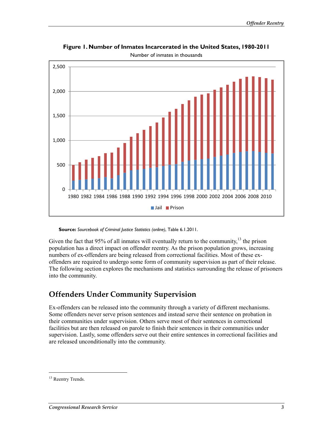

**Figure 1. Number of Inmates Incarcerated in the United States, 1980-2011** 

Number of inmates in thousands

**Source:** *Sourcebook of Criminal Justice Statistics (online)*, Table 6.1.2011.

Given the fact that 95% of all inmates will eventually return to the community, $^{13}$  the prison population has a direct impact on offender reentry. As the prison population grows, increasing numbers of ex-offenders are being released from correctional facilities. Most of these exoffenders are required to undergo some form of community supervision as part of their release. The following section explores the mechanisms and statistics surrounding the release of prisoners into the community.

# **Offenders Under Community Supervision**

Ex-offenders can be released into the community through a variety of different mechanisms. Some offenders never serve prison sentences and instead serve their sentence on probation in their communities under supervision. Others serve most of their sentences in correctional facilities but are then released on parole to finish their sentences in their communities under supervision. Lastly, some offenders serve out their entire sentences in correctional facilities and are released unconditionally into the community.

<sup>&</sup>lt;sup>13</sup> Reentry Trends.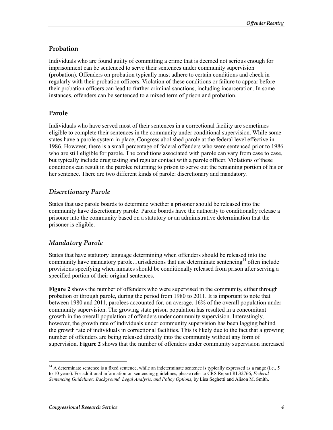### **Probation**

Individuals who are found guilty of committing a crime that is deemed not serious enough for imprisonment can be sentenced to serve their sentences under community supervision (probation). Offenders on probation typically must adhere to certain conditions and check in regularly with their probation officers. Violation of these conditions or failure to appear before their probation officers can lead to further criminal sanctions, including incarceration. In some instances, offenders can be sentenced to a mixed term of prison and probation.

### **Parole**

Individuals who have served most of their sentences in a correctional facility are sometimes eligible to complete their sentences in the community under conditional supervision. While some states have a parole system in place, Congress abolished parole at the federal level effective in 1986. However, there is a small percentage of federal offenders who were sentenced prior to 1986 who are still eligible for parole. The conditions associated with parole can vary from case to case, but typically include drug testing and regular contact with a parole officer. Violations of these conditions can result in the parolee returning to prison to serve out the remaining portion of his or her sentence. There are two different kinds of parole: discretionary and mandatory.

### *Discretionary Parole*

States that use parole boards to determine whether a prisoner should be released into the community have discretionary parole. Parole boards have the authority to conditionally release a prisoner into the community based on a statutory or an administrative determination that the prisoner is eligible.

### *Mandatory Parole*

States that have statutory language determining when offenders should be released into the community have mandatory parole. Jurisdictions that use determinate sentencing<sup>14</sup> often include provisions specifying when inmates should be conditionally released from prison after serving a specified portion of their original sentences.

**Figure 2** shows the number of offenders who were supervised in the community, either through probation or through parole, during the period from 1980 to 2011. It is important to note that between 1980 and 2011, parolees accounted for, on average, 16% of the overall population under community supervision. The growing state prison population has resulted in a concomitant growth in the overall population of offenders under community supervision. Interestingly, however, the growth rate of individuals under community supervision has been lagging behind the growth rate of individuals in correctional facilities. This is likely due to the fact that a growing number of offenders are being released directly into the community without any form of supervision. **Figure 2** shows that the number of offenders under community supervision increased

<sup>&</sup>lt;sup>14</sup> A determinate sentence is a fixed sentence, while an indeterminate sentence is typically expressed as a range (i.e., 5 to 10 years). For additional information on sentencing guidelines, please refer to CRS Report RL32766, *Federal Sentencing Guidelines: Background, Legal Analysis, and Policy Options*, by Lisa Seghetti and Alison M. Smith.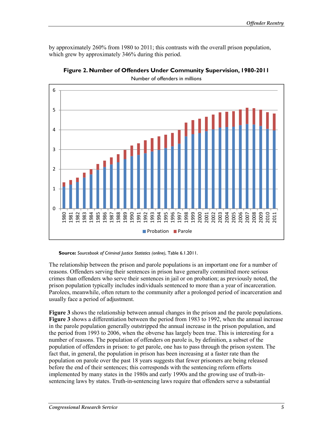by approximately 260% from 1980 to 2011; this contrasts with the overall prison population, which grew by approximately 346% during this period.



**Figure 2. Number of Offenders Under Community Supervision, 1980-2011** 

Number of offenders in millions

**Source:** *Sourcebook of Criminal Justice Statistics (online)*, Table 6.1.2011.

The relationship between the prison and parole populations is an important one for a number of reasons. Offenders serving their sentences in prison have generally committed more serious crimes than offenders who serve their sentences in jail or on probation; as previously noted, the prison population typically includes individuals sentenced to more than a year of incarceration. Parolees, meanwhile, often return to the community after a prolonged period of incarceration and usually face a period of adjustment.

**Figure 3** shows the relationship between annual changes in the prison and the parole populations. **Figure 3** shows a differentiation between the period from 1983 to 1992, when the annual increase in the parole population generally outstripped the annual increase in the prison population, and the period from 1993 to 2006, when the obverse has largely been true. This is interesting for a number of reasons. The population of offenders on parole is, by definition, a subset of the population of offenders in prison: to get parole, one has to pass through the prison system. The fact that, in general, the population in prison has been increasing at a faster rate than the population on parole over the past 18 years suggests that fewer prisoners are being released before the end of their sentences; this corresponds with the sentencing reform efforts implemented by many states in the 1980s and early 1990s and the growing use of truth-insentencing laws by states. Truth-in-sentencing laws require that offenders serve a substantial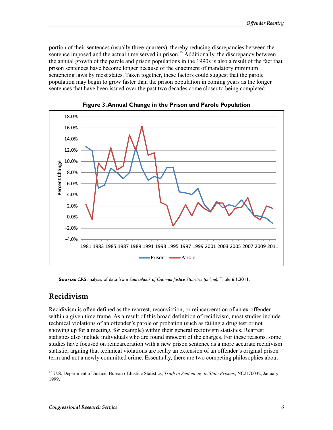portion of their sentences (usually three-quarters), thereby reducing discrepancies between the sentence imposed and the actual time served in prison.<sup>15</sup> Additionally, the discrepancy between the annual growth of the parole and prison populations in the 1990s is also a result of the fact that prison sentences have become longer because of the enactment of mandatory minimum sentencing laws by most states. Taken together, these factors could suggest that the parole population may begin to grow faster than the prison population in coming years as the longer sentences that have been issued over the past two decades come closer to being completed.



**Figure 3. Annual Change in the Prison and Parole Population** 

**Source:** CRS analysis of data from *Sourcebook of Criminal Justice Statistics (online)*, Table 6.1.2011.

### **Recidivism**

1

Recidivism is often defined as the rearrest, reconviction, or reincarceration of an ex-offender within a given time frame. As a result of this broad definition of recidivism, most studies include technical violations of an offender's parole or probation (such as failing a drug test or not showing up for a meeting, for example) within their general recidivism statistics. Rearrest statistics also include individuals who are found innocent of the charges. For these reasons, some studies have focused on reincarceration with a new prison sentence as a more accurate recidivism statistic, arguing that technical violations are really an extension of an offender's original prison term and not a newly committed crime. Essentially, there are two competing philosophies about

<sup>15</sup> U.S. Department of Justice, Bureau of Justice Statistics, *Truth in Sentencing in State Prisons*, NCJ170032, January 1999.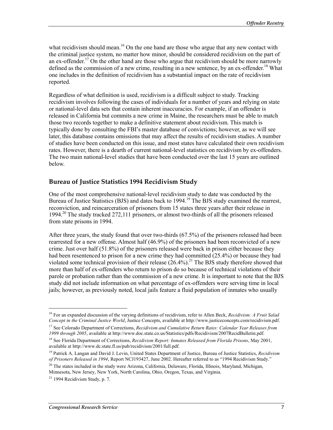what recidivism should mean.<sup>16</sup> On the one hand are those who argue that any new contact with the criminal justice system, no matter how minor, should be considered recidivism on the part of an ex-offender.<sup>17</sup> On the other hand are those who argue that recidivism should be more narrowly defined as the commission of a new crime, resulting in a new sentence, by an ex-offender.<sup>18</sup> What one includes in the definition of recidivism has a substantial impact on the rate of recidivism reported.

Regardless of what definition is used, recidivism is a difficult subject to study. Tracking recidivism involves following the cases of individuals for a number of years and relying on state or national-level data sets that contain inherent inaccuracies. For example, if an offender is released in California but commits a new crime in Maine, the researchers must be able to match those two records together to make a definitive statement about recidivism. This match is typically done by consulting the FBI's master database of convictions; however, as we will see later, this database contains omissions that may affect the results of recidivism studies. A number of studies have been conducted on this issue, and most states have calculated their own recidivism rates. However, there is a dearth of current national-level statistics on recidivism by ex-offenders. The two main national-level studies that have been conducted over the last 15 years are outlined below.

#### **Bureau of Justice Statistics 1994 Recidivism Study**

One of the most comprehensive national-level recidivism study to date was conducted by the Bureau of Justice Statistics (BJS) and dates back to 1994.<sup>19</sup> The BJS study examined the rearrest, reconviction, and reincarceration of prisoners from 15 states three years after their release in 1994.<sup>20</sup> The study tracked 272,111 prisoners, or almost two-thirds of all the prisoners released from state prisons in 1994.

After three years, the study found that over two-thirds (67.5%) of the prisoners released had been rearrested for a new offense. Almost half (46.9%) of the prisoners had been reconvicted of a new crime. Just over half  $(51.8\%)$  of the prisoners released were back in prison either because they had been resentenced to prison for a new crime they had committed (25.4%) or because they had violated some technical provision of their release  $(26.4\%)$ <sup>21</sup>. The BJS study therefore showed that more than half of ex-offenders who return to prison do so because of technical violations of their parole or probation rather than the commission of a new crime. It is important to note that the BJS study did not include information on what percentage of ex-offenders were serving time in local jails; however, as previously noted, local jails feature a fluid population of inmates who usually

 $\overline{a}$ 

<sup>16</sup> For an expanded discussion of the varying definitions of recidivism, refer to Allen Beck, *Recidivism: A Fruit Salad Concept in the Criminal Justice World*, Justice Concepts, available at http://www.justiceconcepts.com/recidivism.pdf.

<sup>17</sup> See Colorado Department of Corrections, *Recidivism and Cumulative Return Rates: Calendar Year Releases from 1999 through 2005*, available at http://www.doc.state.co.us/Statistics/pdfs/Recidivism/2007RecidBulletin.pdf.

<sup>18</sup> See Florida Department of Corrections, *Recidivism Report: Inmates Released from Florida Prisons*, May 2001, available at http://www.dc.state.fl.us/pub/recidivism/2001/full.pdf.

<sup>19</sup> Patrick A. Langan and David J. Levin, United States Department of Justice, Bureau of Justice Statistics, *Recidivism of Prisoners Released in 1994*, Report NCJ193427, June 2002. Hereafter referred to as "1994 Recidivism Study."

<sup>&</sup>lt;sup>20</sup> The states included in the study were Arizona, California, Delaware, Florida, Illinois, Maryland, Michigan, Minnesota, New Jersey, New York, North Carolina, Ohio, Oregon, Texas, and Virginia.

 $21$  1994 Recidivism Study, p. 7.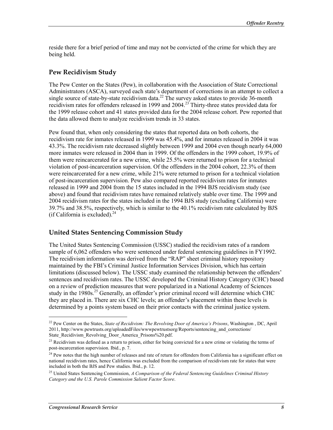reside there for a brief period of time and may not be convicted of the crime for which they are being held.

#### **Pew Recidivism Study**

The Pew Center on the States (Pew), in collaboration with the Association of State Correctional Administrators (ASCA), surveyed each state's department of corrections in an attempt to collect a single source of state-by-state recidivism data.<sup>22</sup> The survey asked states to provide  $36$ -month recidivism rates for offenders released in 1999 and 2004.23 Thirty-three states provided data for the 1999 release cohort and 41 states provided data for the 2004 release cohort. Pew reported that the data allowed them to analyze recidivism trends in 33 states.

Pew found that, when only considering the states that reported data on both cohorts, the recidivism rate for inmates released in 1999 was 45.4%, and for inmates released in 2004 it was 43.3%. The recidivism rate decreased slightly between 1999 and 2004 even though nearly 64,000 more inmates were released in 2004 than in 1999. Of the offenders in the 1999 cohort, 19.9% of them were reincarcerated for a new crime, while 25.5% were returned to prison for a technical violation of post-incarceration supervision. Of the offenders in the 2004 cohort, 22.3% of them were reincarcerated for a new crime, while 21% were returned to prison for a technical violation of post-incarceration supervision. Pew also compared reported recidivism rates for inmates released in 1999 and 2004 from the 15 states included in the 1994 BJS recidivism study (see above) and found that recidivism rates have remained relatively stable over time. The 1999 and 2004 recidivism rates for the states included in the 1994 BJS study (excluding California) were 39.7% and 38.5%, respectively, which is similar to the 40.1% recidivism rate calculated by BJS (if California is excluded). $^{24}$ 

#### **United States Sentencing Commission Study**

The United States Sentencing Commission (USSC) studied the recidivism rates of a random sample of 6,062 offenders who were sentenced under federal sentencing guidelines in FY1992. The recidivism information was derived from the "RAP" sheet criminal history repository maintained by the FBI's Criminal Justice Information Services Division, which has certain limitations (discussed below). The USSC study examined the relationship between the offenders' sentences and recidivism rates. The USSC developed the Criminal History Category (CHC) based on a review of prediction measures that were popularized in a National Academy of Sciences study in the 1980s.<sup>25</sup> Generally, an offender's prior criminal record will determine which CHC they are placed in. There are six CHC levels; an offender's placement within these levels is determined by a points system based on their prior contacts with the criminal justice system.

<sup>22</sup> Pew Center on the States, *State of Recidivism: The Revolving Door of America's Prisons*, Washington , DC, April 2011, http://www.pewtrusts.org/uploadedFiles/wwwpewtrustsorg/Reports/sentencing\_and\_corrections/ State\_Recidivism\_Revolving\_Door\_America\_Prisons%20.pdf.

<sup>&</sup>lt;sup>23</sup> Recidivism was defined as a return to prison, either for being convicted for a new crime or violating the terms of post-incarceration supervision. Ibid., p. 7.

<sup>&</sup>lt;sup>24</sup> Pew notes that the high number of releases and rate of return for offenders from California has a significant effect on national recidivism rates, hence California was excluded from the comparison of recidivism rate for states that were included in both the BJS and Pew studies. Ibid., p. 12.

<sup>25</sup> United States Sentencing Commission, *A Comparison of the Federal Sentencing Guidelines Criminal History Category and the U.S. Parole Commission Salient Factor Score*.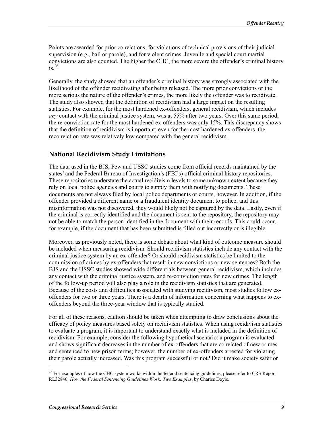Points are awarded for prior convictions, for violations of technical provisions of their judicial supervision (e.g., bail or parole), and for violent crimes. Juvenile and special court martial convictions are also counted. The higher the CHC, the more severe the offender's criminal history  $is<sup>26</sup>$ 

Generally, the study showed that an offender's criminal history was strongly associated with the likelihood of the offender recidivating after being released. The more prior convictions or the more serious the nature of the offender's crimes, the more likely the offender was to recidivate. The study also showed that the definition of recidivism had a large impact on the resulting statistics. For example, for the most hardened ex-offenders, general recidivism, which includes *any* contact with the criminal justice system, was at 55% after two years. Over this same period, the re-conviction rate for the most hardened ex-offenders was only 15%. This discrepancy shows that the definition of recidivism is important; even for the most hardened ex-offenders, the reconviction rate was relatively low compared with the general recidivism.

### **National Recidivism Study Limitations**

The data used in the BJS, Pew and USSC studies come from official records maintained by the states' and the Federal Bureau of Investigation's (FBI's) official criminal history repositories. These repositories understate the actual recidivism levels to some unknown extent because they rely on local police agencies and courts to supply them with notifying documents. These documents are not always filed by local police departments or courts, however. In addition, if the offender provided a different name or a fraudulent identity document to police, and this misinformation was not discovered, they would likely not be captured by the data. Lastly, even if the criminal is correctly identified and the document is sent to the repository, the repository may not be able to match the person identified in the document with their records. This could occur, for example, if the document that has been submitted is filled out incorrectly or is illegible.

Moreover, as previously noted, there is some debate about what kind of outcome measure should be included when measuring recidivism. Should recidivism statistics include any contact with the criminal justice system by an ex-offender? Or should recidivism statistics be limited to the commission of crimes by ex-offenders that result in new convictions or new sentences? Both the BJS and the USSC studies showed wide differentials between general recidivism, which includes any contact with the criminal justice system, and re-conviction rates for new crimes. The length of the follow-up period will also play a role in the recidivism statistics that are generated. Because of the costs and difficulties associated with studying recidivism, most studies follow exoffenders for two or three years. There is a dearth of information concerning what happens to exoffenders beyond the three-year window that is typically studied.

For all of these reasons, caution should be taken when attempting to draw conclusions about the efficacy of policy measures based solely on recidivism statistics. When using recidivism statistics to evaluate a program, it is important to understand exactly what is included in the definition of recidivism. For example, consider the following hypothetical scenario: a program is evaluated and shows significant decreases in the number of ex-offenders that are convicted of new crimes and sentenced to new prison terms; however, the number of ex-offenders arrested for violating their parole actually increased. Was this program successful or not? Did it make society safer or

<sup>&</sup>lt;sup>26</sup> For examples of how the CHC system works within the federal sentencing guidelines, please refer to CRS Report RL32846, *How the Federal Sentencing Guidelines Work: Two Examples*, by Charles Doyle.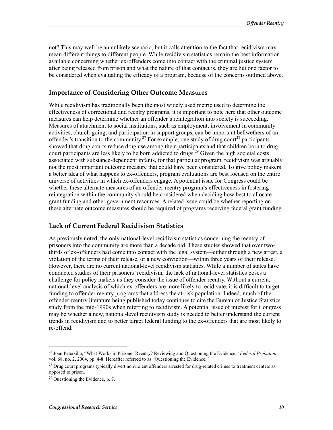not? This may well be an unlikely scenario, but it calls attention to the fact that recidivism may mean different things to different people. While recidivism statistics remain the best information available concerning whether ex-offenders come into contact with the criminal justice system after being released from prison and what the nature of that contact is, they are but one factor to be considered when evaluating the efficacy of a program, because of the concerns outlined above.

#### **Importance of Considering Other Outcome Measures**

While recidivism has traditionally been the most widely used metric used to determine the effectiveness of correctional and reentry programs, it is important to note here that other outcome measures can help determine whether an offender's reintegration into society is succeeding. Measures of attachment to social institutions, such as employment, involvement in community activities, church-going, and participation in support groups, can be important bellwethers of an offender's transition to the community.<sup>27</sup> For example, one study of drug court<sup>28</sup> participants showed that drug courts reduce drug use among their participants and that children born to drug court participants are less likely to be born addicted to drugs.<sup>29</sup> Given the high societal costs associated with substance-dependent infants, for that particular program, recidivism was arguably not the most important outcome measure that could have been considered. To give policy makers a better idea of what happens to ex-offenders, program evaluations are best focused on the entire universe of activities in which ex-offenders engage. A potential issue for Congress could be whether these alternate measures of an offender reentry program's effectiveness in fostering reintegration within the community should be considered when deciding how best to allocate grant funding and other government resources. A related issue could be whether reporting on these alternate outcome measures should be required of programs receiving federal grant funding.

#### **Lack of Current Federal Recidivism Statistics**

As previously noted, the only national-level recidivism statistics concerning the reentry of prisoners into the community are more than a decade old. These studies showed that over twothirds of ex-offenders had come into contact with the legal system—either through a new arrest, a violation of the terms of their release, or a new conviction—within three years of their release. However, there are no current national-level recidivism statistics. While a number of states have conducted studies of their prisoners' recidivism, the lack of national-level statistics poses a challenge for policy makers as they consider the issue of offender reentry. Without a current, national-level analysis of which ex-offenders are more likely to recidivate, it is difficult to target funding to offender reentry programs that address the at-risk population. Indeed, much of the offender reentry literature being published today continues to cite the Bureau of Justice Statistics study from the mid-1990s when referring to recidivism. A potential issue of interest for Congress may be whether a new, national-level recidivism study is needed to better understand the current trends in recidivism and to better target federal funding to the ex-offenders that are most likely to re-offend.

<sup>27</sup> Joan Petersilla, "What Works in Prisoner Reentry? Reviewing and Questioning the Evidence," *Federal Probation*, vol. 68, no. 2, 2004, pp. 4-8. Hereafter referred to as "Questioning the Evidence."

<sup>&</sup>lt;sup>28</sup> Drug court programs typically divert nonviolent offenders arrested for drug-related crimes to treatment centers as opposed to prison.

 $29$  Questioning the Evidence, p. 7.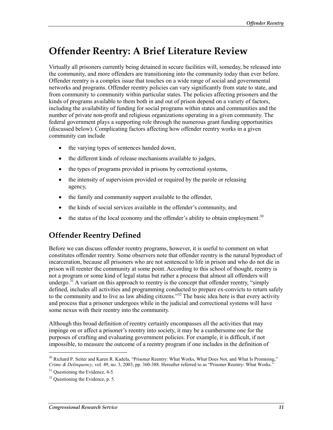# **Offender Reentry: A Brief Literature Review**

Virtually all prisoners currently being detained in secure facilities will, someday, be released into the community, and more offenders are transitioning into the community today than ever before. Offender reentry is a complex issue that touches on a wide range of social and governmental networks and programs. Offender reentry policies can vary significantly from state to state, and from community to community within particular states. The policies affecting prisoners and the kinds of programs available to them both in and out of prison depend on a variety of factors, including the availability of funding for social programs within states and communities and the number of private non-profit and religious organizations operating in a given community. The federal government plays a supporting role through the numerous grant funding opportunities (discussed below). Complicating factors affecting how offender reentry works in a given community can include

- the varying types of sentences handed down,
- the different kinds of release mechanisms available to judges,
- the types of programs provided in prisons by correctional systems,
- the intensity of supervision provided or required by the parole or releasing agency,
- the family and community support available to the offender,
- the kinds of social services available in the offender's community, and
- the status of the local economy and the offender's ability to obtain employment.<sup>30</sup>

### **Offender Reentry Defined**

Before we can discuss offender reentry programs, however, it is useful to comment on what constitutes offender reentry. Some observers note that offender reentry is the natural byproduct of incarceration, because all prisoners who are not sentenced to life in prison and who do not die in prison will reenter the community at some point. According to this school of thought, reentry is not a program or some kind of legal status but rather a process that almost all offenders will undergo.<sup>31</sup> A variant on this approach to reentry is the concept that offender reentry, "simply defined, includes all activities and programming conducted to prepare ex-convicts to return safely to the community and to live as law abiding citizens.<sup>33</sup> The basic idea here is that every activity and process that a prisoner undergoes while in the judicial and correctional systems will have some nexus with their reentry into the community.

Although this broad definition of reentry certainly encompasses all the activities that may impinge on or affect a prisoner's reentry into society, it may be a cumbersome one for the purposes of crafting and evaluating government policies. For example, it is difficult, if not impossible, to measure the outcome of a reentry program if one includes in the definition of

<sup>&</sup>lt;sup>30</sup> Richard P. Seiter and Karen R. Kadela, "Prisoner Reentry: What Works, What Does Not, and What Is Promising," *Crime & Delinquency*, vol. 49, no. 3, 2003, pp. 360-388. Hereafter referred to as "Prisoner Reentry: What Works."

 $31$  Questioning the Evidence, 4-5.

 $32$  Questioning the Evidence, p. 5.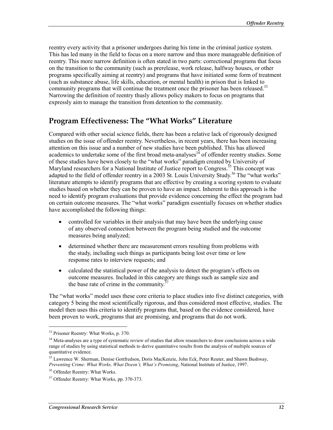reentry every activity that a prisoner undergoes during his time in the criminal justice system. This has led many in the field to focus on a more narrow and thus more manageable definition of reentry. This more narrow definition is often stated in two parts: correctional programs that focus on the transition to the community (such as prerelease, work release, halfway houses, or other programs specifically aiming at reentry) and programs that have initiated some form of treatment (such as substance abuse, life skills, education, or mental health) in prison that is linked to community programs that will continue the treatment once the prisoner has been released.<sup>33</sup> Narrowing the definition of reentry thusly allows policy makers to focus on programs that expressly aim to manage the transition from detention to the community.

### **Program Effectiveness: The "What Works" Literature**

Compared with other social science fields, there has been a relative lack of rigorously designed studies on the issue of offender reentry. Nevertheless, in recent years, there has been increasing attention on this issue and a number of new studies have been published. This has allowed academics to undertake some of the first broad meta-analyses $3<sup>34</sup>$  of offender reentry studies. Some of these studies have hewn closely to the "what works" paradigm created by University of Maryland researchers for a National Institute of Justice report to Congress.<sup>35</sup> This concept was adapted to the field of offender reentry in a 2003 St. Louis University Study.<sup>36</sup> The "what works" literature attempts to identify programs that are effective by creating a scoring system to evaluate studies based on whether they can be proven to have an impact. Inherent to this approach is the need to identify program evaluations that provide evidence concerning the effect the program had on certain outcome measures. The "what works" paradigm essentially focuses on whether studies have accomplished the following things:

- controlled for variables in their analysis that may have been the underlying cause of any observed connection between the program being studied and the outcome measures being analyzed;
- determined whether there are measurement errors resulting from problems with the study, including such things as participants being lost over time or low response rates to interview requests; and
- calculated the statistical power of the analysis to detect the program's effects on outcome measures. Included in this category are things such as sample size and the base rate of crime in the community. $3<sup>3</sup>$

The "what works" model uses these core criteria to place studies into five distinct categories, with category 5 being the most scientifically rigorous, and thus considered most effective, studies. The model then uses this criteria to identify programs that, based on the evidence considered, have been proven to work, programs that are promising, and programs that do not work.

<sup>33</sup> Prisoner Reentry: What Works, p. 370.

<sup>&</sup>lt;sup>34</sup> Meta-analyses are a type of systematic review of studies that allow researchers to draw conclusions across a wide range of studies by using statistical methods to derive quantitative results from the analysis of multiple sources of quantitative evidence.

<sup>&</sup>lt;sup>35</sup> Lawrence W. Sherman, Denise Gottfredson, Doris MacKenzie, John Eck, Peter Reuter, and Shawn Bushway, *Preventing Crime: What Works, What Doesn't, What's Promising*, National Institute of Justice, 1997.

<sup>36</sup> Offender Reentry: What Works.

<sup>&</sup>lt;sup>37</sup> Offender Reentry: What Works, pp. 370-373.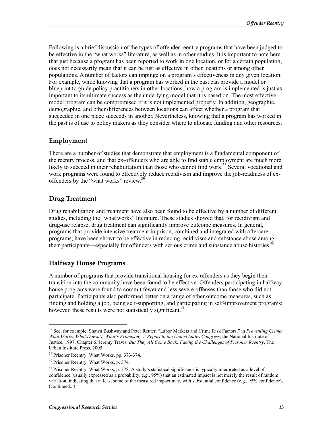Following is a brief discussion of the types of offender reentry programs that have been judged to be effective in the "what works" literature, as well as in other studies. It is important to note here that just because a program has been reported to work in one location, or for a certain population, does not necessarily mean that it can be just as effective in other locations or among other populations. A number of factors can impinge on a program's effectiveness in any given location. For example, while knowing that a program has worked in the past can provide a model or blueprint to guide policy practitioners in other locations, how a program is implemented is just as important to its ultimate success as the underlying model that it is based on. The most effective model program can be compromised if it is not implemented properly. In addition, geographic, demographic, and other differences between locations can affect whether a program that succeeded in one place succeeds in another. Nevertheless, knowing that a program has worked in the past is of use to policy makers as they consider where to allocate funding and other resources.

#### **Employment**

There are a number of studies that demonstrate that employment is a fundamental component of the reentry process, and that ex-offenders who are able to find stable employment are much more likely to succeed in their rehabilitation than those who cannot find work.<sup>38</sup> Several vocational and work programs were found to effectively reduce recidivism and improve the job-readiness of exoffenders by the "what works" review.<sup>39</sup>

#### **Drug Treatment**

Drug rehabilitation and treatment have also been found to be effective by a number of different studies, including the "what works" literature. These studies showed that, for recidivism and drug-use relapse, drug treatment can significantly improve outcome measures. In general, programs that provide intensive treatment in prison, combined and integrated with aftercare programs, have been shown to be effective in reducing recidivism and substance abuse among their participants—especially for offenders with serious crime and substance abuse histories. $40$ 

#### **Halfway House Programs**

A number of programs that provide transitional housing for ex-offenders as they begin their transition into the community have been found to be effective. Offenders participating in halfway house programs were found to commit fewer and less severe offenses than those who did not participate. Participants also performed better on a range of other outcome measures, such as finding and holding a job, being self-supporting, and participating in self-improvement programs; however, these results were not statistically significant.<sup>41</sup>

 $\overline{a}$ 

<sup>38</sup> See, for example, Shawn Bushway and Peter Reuter, "Labor Markets and Crime Risk Factors," in *Preventing Crime: What Works, What Doesn't, What's Promising. A Report to the United States Congress*, the National Institute of Justice, 1997, Chapter 6. Jeremy Travis, *But They All Come Back: Facing the Challenges of Prisoner Reentry*, The Urban Institute Press, 2005.

<sup>39</sup> Prisoner Reentry: What Works, pp. 373-374.

<sup>40</sup> Prisoner Reentry: What Works, p. 374.

 $41$  Prisoner Reentry: What Works, p. 378. A study's statistical significance is typically interpreted as a level of confidence (usually expressed as a probability, e.g., 95%) that an estimated impact is not merely the result of random variation, indicating that at least some of the measured impact may, with substantial confidence (e.g., 95% confidence), (continued...)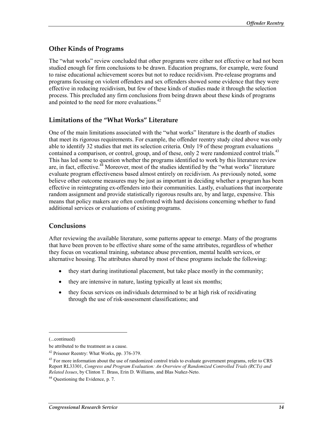### **Other Kinds of Programs**

The "what works" review concluded that other programs were either not effective or had not been studied enough for firm conclusions to be drawn. Education programs, for example, were found to raise educational achievement scores but not to reduce recidivism. Pre-release programs and programs focusing on violent offenders and sex offenders showed some evidence that they were effective in reducing recidivism, but few of these kinds of studies made it through the selection process. This precluded any firm conclusions from being drawn about these kinds of programs and pointed to the need for more evaluations.<sup>42</sup>

### **Limitations of the "What Works" Literature**

One of the main limitations associated with the "what works" literature is the dearth of studies that meet its rigorous requirements. For example, the offender reentry study cited above was only able to identify 32 studies that met its selection criteria. Only 19 of these program evaluations contained a comparison, or control, group, and of these, only 2 were randomized control trials.<sup>43</sup> This has led some to question whether the programs identified to work by this literature review are, in fact, effective.<sup>44</sup> Moreover, most of the studies identified by the "what works" literature evaluate program effectiveness based almost entirely on recidivism. As previously noted, some believe other outcome measures may be just as important in deciding whether a program has been effective in reintegrating ex-offenders into their communities. Lastly, evaluations that incorporate random assignment and provide statistically rigorous results are, by and large, expensive. This means that policy makers are often confronted with hard decisions concerning whether to fund additional services or evaluations of existing programs.

#### **Conclusions**

After reviewing the available literature, some patterns appear to emerge. Many of the programs that have been proven to be effective share some of the same attributes, regardless of whether they focus on vocational training, substance abuse prevention, mental health services, or alternative housing. The attributes shared by most of these programs include the following:

- they start during institutional placement, but take place mostly in the community;
- they are intensive in nature, lasting typically at least six months;
- they focus services on individuals determined to be at high risk of recidivating through the use of risk-assessment classifications; and

<sup>(...</sup>continued)

be attributed to the treatment as a cause.

<sup>42</sup> Prisoner Reentry: What Works, pp. 376-379.

<sup>&</sup>lt;sup>43</sup> For more information about the use of randomized control trials to evaluate government programs, refer to CRS Report RL33301, *Congress and Program Evaluation: An Overview of Randomized Controlled Trials (RCTs) and Related Issues*, by Clinton T. Brass, Erin D. Williams, and Blas Nuñez-Neto.

 $44$  Questioning the Evidence, p. 7.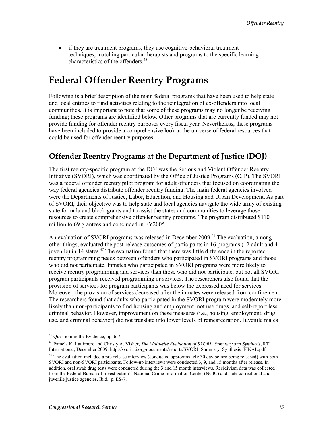• if they are treatment programs, they use cognitive-behavioral treatment techniques, matching particular therapists and programs to the specific learning characteristics of the offenders.45

# **Federal Offender Reentry Programs**

Following is a brief description of the main federal programs that have been used to help state and local entities to fund activities relating to the reintegration of ex-offenders into local communities. It is important to note that some of these programs may no longer be receiving funding; these programs are identified below. Other programs that are currently funded may not provide funding for offender reentry purposes every fiscal year. Nevertheless, these programs have been included to provide a comprehensive look at the universe of federal resources that could be used for offender reentry purposes.

### **Offender Reentry Programs at the Department of Justice (DOJ)**

The first reentry-specific program at the DOJ was the Serious and Violent Offender Reentry Initiative (SVORI), which was coordinated by the Office of Justice Programs (OJP). The SVORI was a federal offender reentry pilot program for adult offenders that focused on coordinating the way federal agencies distribute offender reentry funding. The main federal agencies involved were the Departments of Justice, Labor, Education, and Housing and Urban Development. As part of SVORI, their objective was to help state and local agencies navigate the wide array of existing state formula and block grants and to assist the states and communities to leverage those resources to create comprehensive offender reentry programs. The program distributed \$110 million to 69 grantees and concluded in FY2005.

An evaluation of SVORI programs was released in December 2009.<sup>46</sup> The evaluation, among other things, evaluated the post-release outcomes of participants in 16 programs (12 adult and 4 juvenile) in 14 states.<sup>47</sup> The evaluation found that there was little difference in the reported reentry programming needs between offenders who participated in SVORI programs and those who did not participate. Inmates who participated in SVORI programs were more likely to receive reentry programming and services than those who did not participate, but not all SVORI program participants received programming or services. The researchers also found that the provision of services for program participants was below the expressed need for services. Moreover, the provision of services decreased after the inmates were released from confinement. The researchers found that adults who participated in the SVORI program were moderately more likely than non-participants to find housing and employment, not use drugs, and self-report less criminal behavior. However, improvement on these measures (i.e., housing, employment, drug use, and criminal behavior) did not translate into lower levels of reincarceration. Juvenile males

<sup>45</sup> Questioning the Evidence, pp. 6-7.

<sup>46</sup> Pamela K. Lattimore and Christy A. Visher, *The Multi-site Evaluation of SVORI: Summary and Synthesis*, RTI International, December 2009, http://svori.rti.org/documents/reports/SVORI\_Summary\_Synthesis\_FINAL.pdf.

 $47$  The evaluation included a pre-release interview (conducted approximately 30 day before being released) with both SVORI and non-SVORI participants. Follow-up interviews were conducted 3, 9, and 15 months after release. In addition, oral swab drug tests were conducted during the 3 and 15 month interviews. Recidivism data was collected from the Federal Bureau of Investigation's National Crime Information Center (NCIC) and state correctional and juvenile justice agencies. Ibid., p. ES-7.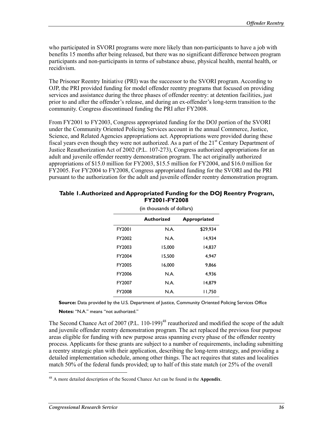who participated in SVORI programs were more likely than non-participants to have a job with benefits 15 months after being released, but there was no significant difference between program participants and non-participants in terms of substance abuse, physical health, mental health, or recidivism.

The Prisoner Reentry Initiative (PRI) was the successor to the SVORI program. According to OJP, the PRI provided funding for model offender reentry programs that focused on providing services and assistance during the three phases of offender reentry: at detention facilities, just prior to and after the offender's release, and during an ex-offender's long-term transition to the community. Congress discontinued funding the PRI after FY2008.

From FY2001 to FY2003, Congress appropriated funding for the DOJ portion of the SVORI under the Community Oriented Policing Services account in the annual Commerce, Justice, Science, and Related Agencies appropriations act. Appropriations were provided during these fiscal years even though they were not authorized. As a part of the  $21<sup>st</sup>$  Century Department of Justice Reauthorization Act of 2002 (P.L. 107-273), Congress authorized appropriations for an adult and juvenile offender reentry demonstration program. The act originally authorized appropriations of \$15.0 million for FY2003, \$15.5 million for FY2004, and \$16.0 million for FY2005. For FY2004 to FY2008, Congress appropriated funding for the SVORI and the PRI pursuant to the authorization for the adult and juvenile offender reentry demonstration program.

| (in thousands of dollars) |            |                     |  |  |  |  |  |
|---------------------------|------------|---------------------|--|--|--|--|--|
|                           | Authorized | <b>Appropriated</b> |  |  |  |  |  |
| FY2001                    | N.A.       | \$29,934            |  |  |  |  |  |
| FY2002                    | N.A.       | 14.934              |  |  |  |  |  |
| FY2003                    | 15.000     | 14,837              |  |  |  |  |  |
| FY2004                    | 15.500     | 4.947               |  |  |  |  |  |
| FY2005                    | 16.000     | 9.866               |  |  |  |  |  |
| FY2006                    | N.A.       | 4.936               |  |  |  |  |  |
| FY2007                    | N.A.       | 14.879              |  |  |  |  |  |
| FY2008                    | N.A.       | 11.750              |  |  |  |  |  |

#### **Table 1. Authorized and Appropriated Funding for the DOJ Reentry Program, FY2001-FY2008**

**Source:** Data provided by the U.S. Department of Justice, Community Oriented Policing Services Office

**Notes:** "N.A." means "not authorized."

The Second Chance Act of 2007 (P.L. 110-199)<sup>48</sup> reauthorized and modified the scope of the adult and juvenile offender reentry demonstration program. The act replaced the previous four purpose areas eligible for funding with new purpose areas spanning every phase of the offender reentry process. Applicants for these grants are subject to a number of requirements, including submitting a reentry strategic plan with their application, describing the long-term strategy, and providing a detailed implementation schedule, among other things. The act requires that states and localities match 50% of the federal funds provided; up to half of this state match (or 25% of the overall

<sup>48</sup> A more detailed description of the Second Chance Act can be found in the **Appendix**.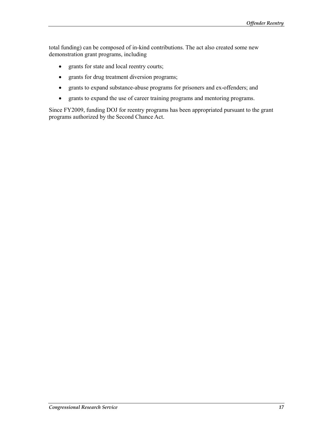total funding) can be composed of in-kind contributions. The act also created some new demonstration grant programs, including

- grants for state and local reentry courts;
- grants for drug treatment diversion programs;
- grants to expand substance-abuse programs for prisoners and ex-offenders; and
- grants to expand the use of career training programs and mentoring programs.

Since FY2009, funding DOJ for reentry programs has been appropriated pursuant to the grant programs authorized by the Second Chance Act.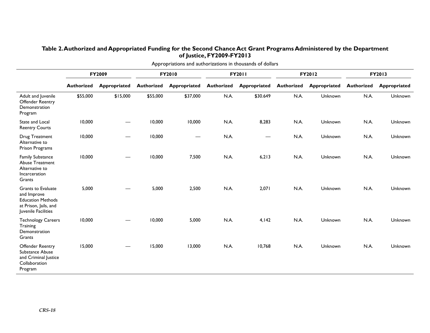| Appropriations and authorizations in thousands of dollars                                                            |                   |              |                   |                          |                   |                   |                   |                |                   |              |
|----------------------------------------------------------------------------------------------------------------------|-------------------|--------------|-------------------|--------------------------|-------------------|-------------------|-------------------|----------------|-------------------|--------------|
|                                                                                                                      | FY2009            |              | FY2010            |                          | FY2011            |                   | FY2012            |                | FY2013            |              |
|                                                                                                                      | <b>Authorized</b> | Appropriated | <b>Authorized</b> | Appropriated             | <b>Authorized</b> | Appropriated      | <b>Authorized</b> | Appropriated   | <b>Authorized</b> | Appropriated |
| Adult and Juvenile<br>Offender Reentry<br>Demonstration<br>Program                                                   | \$55,000          | \$15,000     | \$55,000          | \$37,000                 | N.A.              | \$30.649          | N.A.              | Unknown        | N.A.              | Unknown      |
| State and Local<br><b>Reentry Courts</b>                                                                             | 10,000            |              | 10,000            | 10,000                   | N.A.              | 8,283             | N.A.              | Unknown        | N.A.              | Unknown      |
| Drug Treatment<br>Alternative to<br>Prison Programs                                                                  | 10,000            |              | 10,000            | $\overline{\phantom{m}}$ | N.A.              | $\hspace{0.05cm}$ | N.A.              | <b>Unknown</b> | N.A.              | Unknown      |
| <b>Family Substance</b><br><b>Abuse Treatment</b><br>Alternative to<br>Incarceration<br>Grants                       | 10,000            |              | 10,000            | 7,500                    | N.A.              | 6,213             | N.A.              | <b>Unknown</b> | N.A.              | Unknown      |
| <b>Grants to Evaluate</b><br>and Improve<br><b>Education Methods</b><br>at Prison, Jails, and<br>Juvenile Facilities | 5,000             |              | 5,000             | 2,500                    | N.A.              | 2,071             | N.A.              | <b>Unknown</b> | N.A.              | Unknown      |
| <b>Technology Careers</b><br>Training<br>Demonstration<br>Grants                                                     | 10,000            |              | 10,000            | 5,000                    | N.A.              | 4,142             | N.A.              | Unknown        | N.A.              | Unknown      |
| Offender Reentry<br>Substance Abuse<br>and Criminal Justice<br>Collaboration<br>Program                              | 15,000            |              | 15,000            | 13,000                   | N.A.              | 10,768            | N.A.              | Unknown        | N.A.              | Unknown      |

#### **Table 2. Authorized and Appropriated Funding for the Second Chance Act Grant Programs Administered by the Department of Justice, FY2009-FY2013**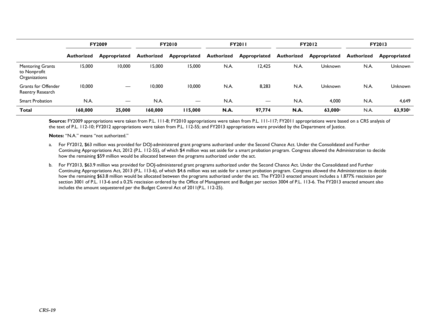|                                                          | <b>FY2009</b>     |                     | <b>FY2010</b> |                     | <b>FY2011</b>     |              | <b>FY2012</b>     |                     | <b>FY2013</b>     |                     |
|----------------------------------------------------------|-------------------|---------------------|---------------|---------------------|-------------------|--------------|-------------------|---------------------|-------------------|---------------------|
|                                                          | <b>Authorized</b> | <b>Appropriated</b> | Authorized    | <b>Appropriated</b> | <b>Authorized</b> | Appropriated | <b>Authorized</b> | Appropriated        | <b>Authorized</b> | Appropriated        |
| <b>Mentoring Grants</b><br>to Nonprofit<br>Organizations | 15,000            | 10,000              | 15,000        | 15,000              | N.A.              | 12,425       | N.A.              | <b>Unknown</b>      | N.A.              | <b>Unknown</b>      |
| <b>Grants for Offender</b><br>Reentry Research           | 10,000            |                     | 10,000        | 10,000              | N.A.              | 8,283        | N.A.              | <b>Unknown</b>      | N.A.              | <b>Unknown</b>      |
| <b>Smart Probation</b>                                   | N.A.              |                     | N.A.          |                     | N.A.              |              | N.A.              | 4.000               | N.A.              | 4,649               |
| <b>Total</b>                                             | 160,000           | 25,000              | 160,000       | 115,000             | <b>N.A.</b>       | 97,774       | N.A.              | 63,000 <sup>a</sup> | N.A.              | 63,930 <sup>b</sup> |

Source: FY2009 appropriations were taken from P.L. 111-8; FY2010 appropriations were taken from P.L. 111-117; FY2011 appropriations were based on a CRS analysis of the text of P.L. 112-10; FY2012 appropriations were taken from P.L. 112-55; and FY2013 appropriations were provided by the Department of Justice.

**Notes:** "N.A." means "not authorized."

- a. For FY2012, \$63 million was provided for DOJ-administered grant programs authorized under the Second Chance Act. Under the Consolidated and Further Continuing Appropriations Act, 2012 (P.L. 112-55), of which \$4 million was set aside for a smart probation program. Congress allowed the Administration to decide how the remaining \$59 million would be allocated between the programs authorized under the act.
- b. For FY2013, \$63.9 million was provided for DOJ-administered grant programs authorized under the Second Chance Act. Under the Consolidated and Further Continuing Appropriations Act, 2013 (P.L. 113-6), of which \$4.6 million was set aside for a smart probation program. Congress allowed the Administration to decide how the remaining \$63.8 million would be allocated between the programs authorized under the act. The FY2013 enacted amount includes a 1.877% rescission per section 3001 of P.L. 113-6 and a 0.2% rescission ordered by the Office of Management and Budget per section 3004 of P.L. 113-6. The FY2013 enacted amount also includes the amount sequestered per the Budget Control Act of 2011(P.L. 112-25).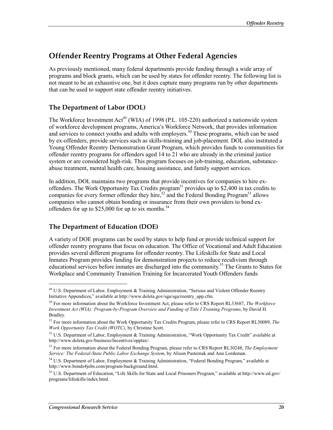### **Offender Reentry Programs at Other Federal Agencies**

As previously mentioned, many federal departments provide funding through a wide array of programs and block grants, which can be used by states for offender reentry. The following list is not meant to be an exhaustive one, but it does capture many programs run by other departments that can be used to support state offender reentry initiatives.

### **The Department of Labor (DOL)**

The Workforce Investment Act<sup>49</sup> (WIA) of 1998 (P.L. 105-220) authorized a nationwide system of workforce development programs, America's Workforce Network, that provides information and services to connect youths and adults with employers.<sup>50</sup> These programs, which can be used by ex-offenders, provide services such as skills-training and job-placement. DOL also instituted a Young Offender Reentry Demonstration Grant Program, which provides funds to communities for offender reentry programs for offenders aged 14 to 21 who are already in the criminal justice system or are considered high-risk. This program focuses on job-training, education, substanceabuse treatment, mental health care, housing assistance, and family support services.

In addition, DOL maintains two programs that provide incentives for companies to hire exoffenders. The Work Opportunity Tax Credits program<sup>51</sup> provides up to \$2,400 in tax credits to companies for every former offender they hire,<sup>52</sup> and the Federal Bonding Program<sup>53</sup> allows companies who cannot obtain bonding or insurance from their own providers to bond exoffenders for up to \$25,000 for up to six months.<sup>54</sup>

### **The Department of Education (DOE)**

A variety of DOE programs can be used by states to help fund or provide technical support for offender reentry programs that focus on education. The Office of Vocational and Adult Education provides several different programs for offender reentry. The Lifeskills for State and Local Inmates Program provides funding for demonstration projects to reduce recidivism through educational services before inmates are discharged into the community.<sup>55</sup> The Grants to States for Workplace and Community Transition Training for Incarcerated Youth Offenders funds

<sup>&</sup>lt;sup>49</sup> U.S. Department of Labor, Employment & Training Administration, "Serious and Violent Offender Reentry Initiative Appendices," available at http://www.doleta.gov/sga/sga/reentry\_app.cfm.

<sup>50</sup> For more information about the Workforce Investment Act, please refer to CRS Report RL33687, *The Workforce Investment Act (WIA): Program-by-Program Overview and Funding of Title I Training Programs*, by David H. Bradley.

<sup>51</sup> For more information about the Work Opportunity Tax Credits Program, please refer to CRS Report RL30089, *The Work Opportunity Tax Credit (WOTC)*, by Christine Scott.

<sup>52</sup> U.S. Department of Labor, Employment & Training Administration, "Work Opportunity Tax Credit" available at http://www.doleta.gov/business/Incentives/opptax/.

<sup>53</sup> For more information about the Federal Bonding Program, please refer to CRS Report RL30248, *The Employment Service: The Federal-State Public Labor Exchange System*, by Alison Pasternak and Ann Lordeman.

<sup>&</sup>lt;sup>54</sup> U.S. Department of Labor, Employment & Training Administration, "Federal Bonding Program," available at http://www.bonds4jobs.com/program-background.html.

<sup>55</sup> U.S. Department of Education, "Life Skills for State and Local Prisoners Program," available at http://www.ed.gov/ programs/lifeskills/index.html.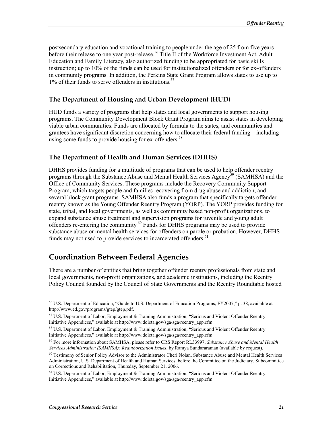postsecondary education and vocational training to people under the age of 25 from five years before their release to one year post-release.<sup>56</sup> Title II of the Workforce Investment Act, Adult Education and Family Literacy, also authorized funding to be appropriated for basic skills instruction; up to 10% of the funds can be used for institutionalized offenders or for ex-offenders in community programs. In addition, the Perkins State Grant Program allows states to use up to  $1\%$  of their funds to serve offenders in institutions.<sup>57</sup>

#### **The Department of Housing and Urban Development (HUD)**

HUD funds a variety of programs that help states and local governments to support housing programs. The Community Development Block Grant Program aims to assist states in developing viable urban communities. Funds are allocated by formula to the states, and communities and grantees have significant discretion concerning how to allocate their federal funding—including using some funds to provide housing for ex-offenders.<sup>58</sup>

#### **The Department of Health and Human Services (DHHS)**

DHHS provides funding for a multitude of programs that can be used to help offender reentry programs through the Substance Abuse and Mental Health Services Agency<sup>59</sup> (SAMHSA) and the Office of Community Services. These programs include the Recovery Community Support Program, which targets people and families recovering from drug abuse and addiction, and several block grant programs. SAMHSA also funds a program that specifically targets offender reentry known as the Young Offender Reentry Program (YORP). The YORP provides funding for state, tribal, and local governments, as well as community based non-profit organizations, to expand substance abuse treatment and supervision programs for juvenile and young adult offenders re-entering the community.60 Funds for DHHS programs may be used to provide substance abuse or mental health services for offenders on parole or probation. However, DHHS funds may not used to provide services to incarcerated offenders.<sup>61</sup>

### **Coordination Between Federal Agencies**

There are a number of entities that bring together offender reentry professionals from state and local governments, non-profit organizations, and academic institutions, including the Reentry Policy Council founded by the Council of State Governments and the Reentry Roundtable hosted

<sup>56</sup> U.S. Department of Education, "Guide to U.S. Department of Education Programs, FY2007," p. 38, available at http://www.ed.gov/programs/gtep/gtep.pdf.

<sup>57</sup> U.S. Department of Labor, Employment & Training Administration, "Serious and Violent Offender Reentry Initiative Appendices," available at http://www.doleta.gov/sga/sga/reentry\_app.cfm.

<sup>&</sup>lt;sup>58</sup> U.S. Department of Labor, Employment & Training Administration, "Serious and Violent Offender Reentry Initiative Appendices," available at http://www.doleta.gov/sga/sga/reentry\_app.cfm.

<sup>59</sup> For more information about SAMHSA, please refer to CRS Report RL33997, *Substance Abuse and Mental Health Services Administration (SAMHSA): Reauthorization Issues*, by Ramya Sundararaman (available by request).

<sup>&</sup>lt;sup>60</sup> Testimony of Senior Policy Advisor to the Administrator Cheri Nolan, Substance Abuse and Mental Health Services Administration, U.S. Department of Health and Human Services, before the Committee on the Judiciary, Subcommittee on Corrections and Rehabilitation, Thursday, September 21, 2006.

<sup>&</sup>lt;sup>61</sup> U.S. Department of Labor, Employment & Training Administration, "Serious and Violent Offender Reentry Initiative Appendices," available at http://www.doleta.gov/sga/sga/reentry\_app.cfm.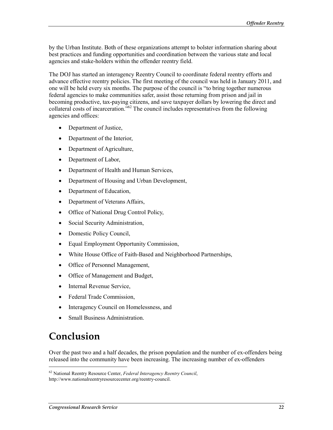by the Urban Institute. Both of these organizations attempt to bolster information sharing about best practices and funding opportunities and coordination between the various state and local agencies and stake-holders within the offender reentry field.

The DOJ has started an interagency Reentry Council to coordinate federal reentry efforts and advance effective reentry policies. The first meeting of the council was held in January 2011, and one will be held every six months. The purpose of the council is "to bring together numerous federal agencies to make communities safer, assist those returning from prison and jail in becoming productive, tax-paying citizens, and save taxpayer dollars by lowering the direct and collateral costs of incarceration."62 The council includes representatives from the following agencies and offices:

- Department of Justice,
- Department of the Interior,
- Department of Agriculture,
- Department of Labor,
- Department of Health and Human Services,
- Department of Housing and Urban Development,
- Department of Education,
- Department of Veterans Affairs,
- Office of National Drug Control Policy,
- Social Security Administration,
- Domestic Policy Council,
- Equal Employment Opportunity Commission,
- White House Office of Faith-Based and Neighborhood Partnerships,
- Office of Personnel Management,
- Office of Management and Budget,
- Internal Revenue Service,
- Federal Trade Commission,
- Interagency Council on Homelessness, and
- Small Business Administration.

# **Conclusion**

1

Over the past two and a half decades, the prison population and the number of ex-offenders being released into the community have been increasing. The increasing number of ex-offenders

<sup>62</sup> National Reentry Resource Center, *Federal Interagency Reentry Council*, http://www.nationalreentryresourcecenter.org/reentry-council.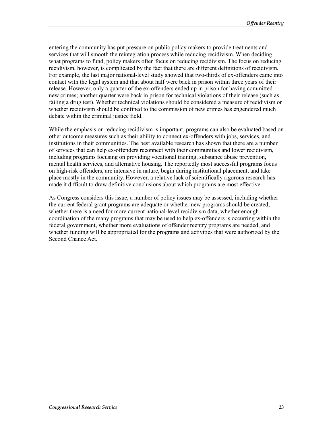entering the community has put pressure on public policy makers to provide treatments and services that will smooth the reintegration process while reducing recidivism. When deciding what programs to fund, policy makers often focus on reducing recidivism. The focus on reducing recidivism, however, is complicated by the fact that there are different definitions of recidivism. For example, the last major national-level study showed that two-thirds of ex-offenders came into contact with the legal system and that about half were back in prison within three years of their release. However, only a quarter of the ex-offenders ended up in prison for having committed new crimes; another quarter were back in prison for technical violations of their release (such as failing a drug test). Whether technical violations should be considered a measure of recidivism or whether recidivism should be confined to the commission of new crimes has engendered much debate within the criminal justice field.

While the emphasis on reducing recidivism is important, programs can also be evaluated based on other outcome measures such as their ability to connect ex-offenders with jobs, services, and institutions in their communities. The best available research has shown that there are a number of services that can help ex-offenders reconnect with their communities and lower recidivism, including programs focusing on providing vocational training, substance abuse prevention, mental health services, and alternative housing. The reportedly most successful programs focus on high-risk offenders, are intensive in nature, begin during institutional placement, and take place mostly in the community. However, a relative lack of scientifically rigorous research has made it difficult to draw definitive conclusions about which programs are most effective.

As Congress considers this issue, a number of policy issues may be assessed, including whether the current federal grant programs are adequate or whether new programs should be created, whether there is a need for more current national-level recidivism data, whether enough coordination of the many programs that may be used to help ex-offenders is occurring within the federal government, whether more evaluations of offender reentry programs are needed, and whether funding will be appropriated for the programs and activities that were authorized by the Second Chance Act.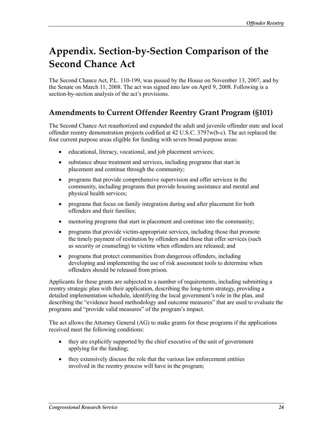# **Appendix. Section-by-Section Comparison of the Second Chance Act**

The Second Chance Act, P.L. 110-199, was passed by the House on November 13, 2007, and by the Senate on March 11, 2008. The act was signed into law on April 9, 2008. Following is a section-by-section analysis of the act's provisions.

### **Amendments to Current Offender Reentry Grant Program (§101)**

The Second Chance Act reauthorized and expanded the adult and juvenile offender state and local offender reentry demonstration projects codified at 42 U.S.C. 3797w(b-c). The act replaced the four current purpose areas eligible for funding with seven broad purpose areas:

- educational, literacy, vocational, and job placement services;
- substance abuse treatment and services, including programs that start in placement and continue through the community;
- programs that provide comprehensive supervision and offer services in the community, including programs that provide housing assistance and mental and physical health services;
- programs that focus on family integration during and after placement for both offenders and their families;
- mentoring programs that start in placement and continue into the community;
- programs that provide victim-appropriate services, including those that promote the timely payment of restitution by offenders and those that offer services (such as security or counseling) to victims when offenders are released; and
- programs that protect communities from dangerous offenders, including developing and implementing the use of risk assessment tools to determine when offenders should be released from prison.

Applicants for these grants are subjected to a number of requirements, including submitting a reentry strategic plan with their application, describing the long-term strategy, providing a detailed implementation schedule, identifying the local government's role in the plan, and describing the "evidence based methodology and outcome measures" that are used to evaluate the programs and "provide valid measures" of the program's impact.

The act allows the Attorney General (AG) to make grants for these programs if the applications received meet the following conditions:

- they are explicitly supported by the chief executive of the unit of government applying for the funding;
- they extensively discuss the role that the various law enforcement entities involved in the reentry process will have in the program;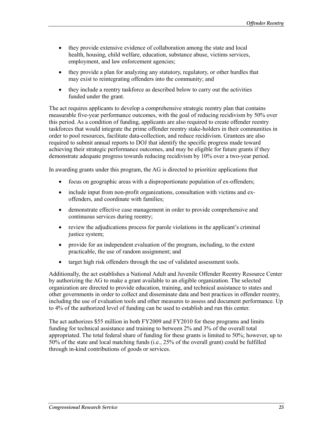- they provide extensive evidence of collaboration among the state and local health, housing, child welfare, education, substance abuse, victims services, employment, and law enforcement agencies;
- they provide a plan for analyzing any statutory, regulatory, or other hurdles that may exist to reintegrating offenders into the community; and
- they include a reentry taskforce as described below to carry out the activities funded under the grant.

The act requires applicants to develop a comprehensive strategic reentry plan that contains measurable five-year performance outcomes, with the goal of reducing recidivism by 50% over this period. As a condition of funding, applicants are also required to create offender reentry taskforces that would integrate the prime offender reentry stake-holders in their communities in order to pool resources, facilitate data-collection, and reduce recidivism. Grantees are also required to submit annual reports to DOJ that identify the specific progress made toward achieving their strategic performance outcomes, and may be eligible for future grants if they demonstrate adequate progress towards reducing recidivism by 10% over a two-year period.

In awarding grants under this program, the AG is directed to prioritize applications that

- focus on geographic areas with a disproportionate population of ex-offenders;
- include input from non-profit organizations, consultation with victims and exoffenders, and coordinate with families;
- demonstrate effective case management in order to provide comprehensive and continuous services during reentry;
- review the adjudications process for parole violations in the applicant's criminal justice system;
- provide for an independent evaluation of the program, including, to the extent practicable, the use of random assignment; and
- target high risk offenders through the use of validated assessment tools.

Additionally, the act establishes a National Adult and Juvenile Offender Reentry Resource Center by authorizing the AG to make a grant available to an eligible organization. The selected organization are directed to provide education, training, and technical assistance to states and other governments in order to collect and disseminate data and best practices in offender reentry, including the use of evaluation tools and other measures to assess and document performance. Up to 4% of the authorized level of funding can be used to establish and run this center.

The act authorizes \$55 million in both FY2009 and FY2010 for these programs and limits funding for technical assistance and training to between 2% and 3% of the overall total appropriated. The total federal share of funding for these grants is limited to 50%; however, up to 50% of the state and local matching funds (i.e., 25% of the overall grant) could be fulfilled through in-kind contributions of goods or services.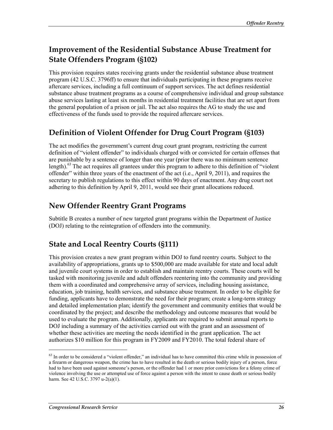## **Improvement of the Residential Substance Abuse Treatment for State Offenders Program (§102)**

This provision requires states receiving grants under the residential substance abuse treatment program (42 U.S.C. 3796ff) to ensure that individuals participating in these programs receive aftercare services, including a full continuum of support services. The act defines residential substance abuse treatment programs as a course of comprehensive individual and group substance abuse services lasting at least six months in residential treatment facilities that are set apart from the general population of a prison or jail. The act also requires the AG to study the use and effectiveness of the funds used to provide the required aftercare services.

### **Definition of Violent Offender for Drug Court Program (§103)**

The act modifies the government's current drug court grant program, restricting the current definition of "violent offender" to individuals charged with or convicted for certain offenses that are punishable by a sentence of longer than one year (prior there was no minimum sentence length).<sup>63</sup> The act requires all grantees under this program to adhere to this definition of "violent" offender" within three years of the enactment of the act (i.e., April 9, 2011), and requires the secretary to publish regulations to this effect within 90 days of enactment. Any drug court not adhering to this definition by April 9, 2011, would see their grant allocations reduced.

### **New Offender Reentry Grant Programs**

Subtitle B creates a number of new targeted grant programs within the Department of Justice (DOJ) relating to the reintegration of offenders into the community.

# **State and Local Reentry Courts (§111)**

This provision creates a new grant program within DOJ to fund reentry courts. Subject to the availability of appropriations, grants up to \$500,000 are made available for state and local adult and juvenile court systems in order to establish and maintain reentry courts. These courts will be tasked with monitoring juvenile and adult offenders reentering into the community and providing them with a coordinated and comprehensive array of services, including housing assistance, education, job training, health services, and substance abuse treatment. In order to be eligible for funding, applicants have to demonstrate the need for their program; create a long-term strategy and detailed implementation plan; identify the government and community entities that would be coordinated by the project; and describe the methodology and outcome measures that would be used to evaluate the program. Additionally, applicants are required to submit annual reports to DOJ including a summary of the activities carried out with the grant and an assessment of whether these activities are meeting the needs identified in the grant application. The act authorizes \$10 million for this program in FY2009 and FY2010. The total federal share of

<sup>&</sup>lt;sup>63</sup> In order to be considered a "violent offender," an individual has to have committed this crime while in possession of a firearm or dangerous weapon, the crime has to have resulted in the death or serious bodily injury of a person, force had to have been used against someone's person, or the offender had 1 or more prior convictions for a felony crime of violence involving the use or attempted use of force against a person with the intent to cause death or serious bodily harm. See 42 U.S.C. 3797 u-2(a)(1).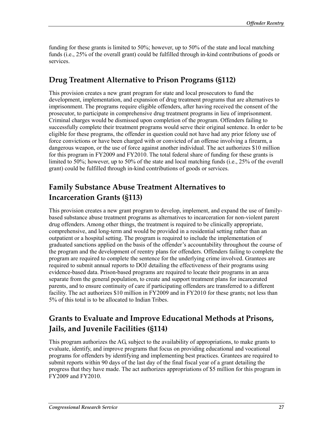funding for these grants is limited to 50%; however, up to 50% of the state and local matching funds (i.e., 25% of the overall grant) could be fulfilled through in-kind contributions of goods or services.

### **Drug Treatment Alternative to Prison Programs (§112)**

This provision creates a new grant program for state and local prosecutors to fund the development, implementation, and expansion of drug treatment programs that are alternatives to imprisonment. The programs require eligible offenders, after having received the consent of the prosecutor, to participate in comprehensive drug treatment programs in lieu of imprisonment. Criminal charges would be dismissed upon completion of the program. Offenders failing to successfully complete their treatment programs would serve their original sentence. In order to be eligible for these programs, the offender in question could not have had any prior felony use of force convictions or have been charged with or convicted of an offense involving a firearm, a dangerous weapon, or the use of force against another individual. The act authorizes \$10 million for this program in FY2009 and FY2010. The total federal share of funding for these grants is limited to 50%; however, up to 50% of the state and local matching funds (i.e., 25% of the overall grant) could be fulfilled through in-kind contributions of goods or services.

## **Family Substance Abuse Treatment Alternatives to Incarceration Grants (§113)**

This provision creates a new grant program to develop, implement, and expand the use of familybased substance abuse treatment programs as alternatives to incarceration for non-violent parent drug offenders. Among other things, the treatment is required to be clinically appropriate, comprehensive, and long-term and would be provided in a residential setting rather than an outpatient or a hospital setting. The program is required to include the implementation of graduated sanctions applied on the basis of the offender's accountability throughout the course of the program and the development of reentry plans for offenders. Offenders failing to complete the program are required to complete the sentence for the underlying crime involved. Grantees are required to submit annual reports to DOJ detailing the effectiveness of their programs using evidence-based data. Prison-based programs are required to locate their programs in an area separate from the general population, to create and support treatment plans for incarcerated parents, and to ensure continuity of care if participating offenders are transferred to a different facility. The act authorizes \$10 million in FY2009 and in FY2010 for these grants; not less than 5% of this total is to be allocated to Indian Tribes.

## **Grants to Evaluate and Improve Educational Methods at Prisons, Jails, and Juvenile Facilities (§114)**

This program authorizes the AG, subject to the availability of appropriations, to make grants to evaluate, identify, and improve programs that focus on providing educational and vocational programs for offenders by identifying and implementing best practices. Grantees are required to submit reports within 90 days of the last day of the final fiscal year of a grant detailing the progress that they have made. The act authorizes appropriations of \$5 million for this program in FY2009 and FY2010.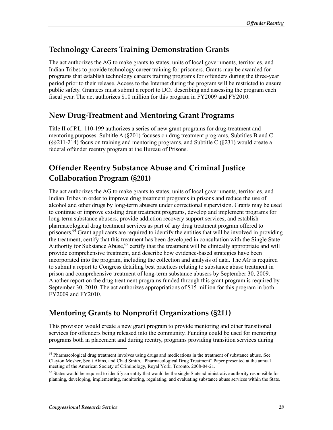### **Technology Careers Training Demonstration Grants**

The act authorizes the AG to make grants to states, units of local governments, territories, and Indian Tribes to provide technology career training for prisoners. Grants may be awarded for programs that establish technology careers training programs for offenders during the three-year period prior to their release. Access to the Internet during the program will be restricted to ensure public safety. Grantees must submit a report to DOJ describing and assessing the program each fiscal year. The act authorizes \$10 million for this program in FY2009 and FY2010.

### **New Drug-Treatment and Mentoring Grant Programs**

Title II of P.L. 110-199 authorizes a series of new grant programs for drug-treatment and mentoring purposes. Subtitle  $A(8201)$  focuses on drug treatment programs, Subtitles B and C (§§211-214) focus on training and mentoring programs, and Subtitle C (§231) would create a federal offender reentry program at the Bureau of Prisons.

# **Offender Reentry Substance Abuse and Criminal Justice Collaboration Program (§201)**

The act authorizes the AG to make grants to states, units of local governments, territories, and Indian Tribes in order to improve drug treatment programs in prisons and reduce the use of alcohol and other drugs by long-term abusers under correctional supervision. Grants may be used to continue or improve existing drug treatment programs, develop and implement programs for long-term substance abusers, provide addiction recovery support services, and establish pharmacological drug treatment services as part of any drug treatment program offered to prisoners.<sup>64</sup> Grant applicants are required to identify the entities that will be involved in providing the treatment, certify that this treatment has been developed in consultation with the Single State Authority for Substance Abuse,<sup>65</sup> certify that the treatment will be clinically appropriate and will provide comprehensive treatment, and describe how evidence-based strategies have been incorporated into the program, including the collection and analysis of data. The AG is required to submit a report to Congress detailing best practices relating to substance abuse treatment in prison and comprehensive treatment of long-term substance abusers by September 30, 2009. Another report on the drug treatment programs funded through this grant program is required by September 30, 2010. The act authorizes appropriations of \$15 million for this program in both FY2009 and FY2010.

# **Mentoring Grants to Nonprofit Organizations (§211)**

This provision would create a new grant program to provide mentoring and other transitional services for offenders being released into the community. Funding could be used for mentoring programs both in placement and during reentry, programs providing transition services during

<sup>&</sup>lt;sup>64</sup> Pharmacological drug treatment involves using drugs and medications in the treatment of substance abuse. See Clayton Mosher, Scott Akins, and Chad Smith, "Pharmacological Drug Treatment" Paper presented at the annual meeting of the American Society of Criminology, Royal York, Toronto. 2008-04-21.

 $65$  States would be required to identify an entity that would be the single State administrative authority responsible for planning, developing, implementing, monitoring, regulating, and evaluating substance abuse services within the State.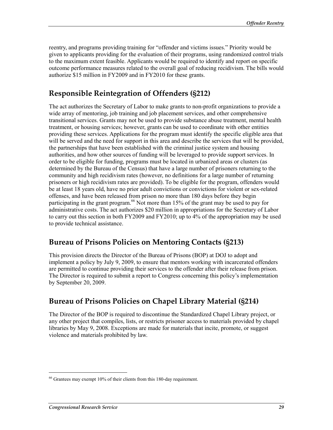reentry, and programs providing training for "offender and victims issues." Priority would be given to applicants providing for the evaluation of their programs, using randomized control trials to the maximum extent feasible. Applicants would be required to identify and report on specific outcome performance measures related to the overall goal of reducing recidivism. The bills would authorize \$15 million in FY2009 and in FY2010 for these grants.

## **Responsible Reintegration of Offenders (§212)**

The act authorizes the Secretary of Labor to make grants to non-profit organizations to provide a wide array of mentoring, job training and job placement services, and other comprehensive transitional services. Grants may not be used to provide substance abuse treatment, mental health treatment, or housing services; however, grants can be used to coordinate with other entities providing these services. Applications for the program must identify the specific eligible area that will be served and the need for support in this area and describe the services that will be provided, the partnerships that have been established with the criminal justice system and housing authorities, and how other sources of funding will be leveraged to provide support services. In order to be eligible for funding, programs must be located in urbanized areas or clusters (as determined by the Bureau of the Census) that have a large number of prisoners returning to the community and high recidivism rates (however, no definitions for a large number of returning prisoners or high recidivism rates are provided). To be eligible for the program, offenders would be at least 18 years old, have no prior adult convictions or convictions for violent or sex-related offenses, and have been released from prison no more than 180 days before they begin participating in the grant program.<sup>66</sup> Not more than 15% of the grant may be used to pay for administrative costs. The act authorizes \$20 million in appropriations for the Secretary of Labor to carry out this section in both FY2009 and FY2010; up to 4% of the appropriation may be used to provide technical assistance.

### **Bureau of Prisons Policies on Mentoring Contacts (§213)**

This provision directs the Director of the Bureau of Prisons (BOP) at DOJ to adopt and implement a policy by July 9, 2009, to ensure that mentors working with incarcerated offenders are permitted to continue providing their services to the offender after their release from prison. The Director is required to submit a report to Congress concerning this policy's implementation by September 20, 2009.

### **Bureau of Prisons Policies on Chapel Library Material (§214)**

The Director of the BOP is required to discontinue the Standardized Chapel Library project, or any other project that compiles, lists, or restricts prisoner access to materials provided by chapel libraries by May 9, 2008. Exceptions are made for materials that incite, promote, or suggest violence and materials prohibited by law.

<sup>&</sup>lt;sup>66</sup> Grantees may exempt 10% of their clients from this 180-day requirement.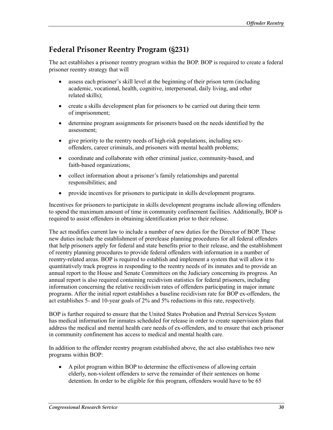### **Federal Prisoner Reentry Program (§231)**

The act establishes a prisoner reentry program within the BOP. BOP is required to create a federal prisoner reentry strategy that will

- assess each prisoner's skill level at the beginning of their prison term (including academic, vocational, health, cognitive, interpersonal, daily living, and other related skills);
- create a skills development plan for prisoners to be carried out during their term of imprisonment;
- determine program assignments for prisoners based on the needs identified by the assessment;
- give priority to the reentry needs of high-risk populations, including sexoffenders, career criminals, and prisoners with mental health problems;
- coordinate and collaborate with other criminal justice, community-based, and faith-based organizations;
- collect information about a prisoner's family relationships and parental responsibilities; and
- provide incentives for prisoners to participate in skills development programs.

Incentives for prisoners to participate in skills development programs include allowing offenders to spend the maximum amount of time in community confinement facilities. Additionally, BOP is required to assist offenders in obtaining identification prior to their release.

The act modifies current law to include a number of new duties for the Director of BOP. These new duties include the establishment of prerelease planning procedures for all federal offenders that help prisoners apply for federal and state benefits prior to their release, and the establishment of reentry planning procedures to provide federal offenders with information in a number of reentry-related areas. BOP is required to establish and implement a system that will allow it to quantitatively track progress in responding to the reentry needs of its inmates and to provide an annual report to the House and Senate Committees on the Judiciary concerning its progress. An annual report is also required containing recidivism statistics for federal prisoners, including information concerning the relative recidivism rates of offenders participating in major inmate programs. After the initial report establishes a baseline recidivism rate for BOP ex-offenders, the act establishes 5- and 10-year goals of 2% and 5% reductions in this rate, respectively.

BOP is further required to ensure that the United States Probation and Pretrial Services System has medical information for inmates scheduled for release in order to create supervision plans that address the medical and mental health care needs of ex-offenders, and to ensure that each prisoner in community confinement has access to medical and mental health care.

In addition to the offender reentry program established above, the act also establishes two new programs within BOP:

• A pilot program within BOP to determine the effectiveness of allowing certain elderly, non-violent offenders to serve the remainder of their sentences on home detention. In order to be eligible for this program, offenders would have to be 65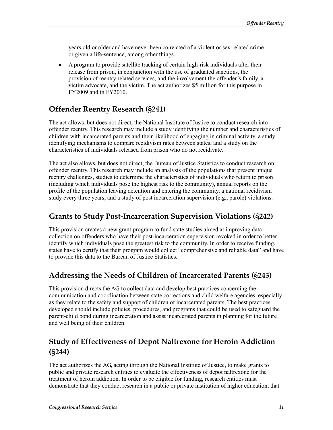years old or older and have never been convicted of a violent or sex-related crime or given a life-sentence, among other things.

• A program to provide satellite tracking of certain high-risk individuals after their release from prison, in conjunction with the use of graduated sanctions, the provision of reentry related services, and the involvement the offender's family, a victim advocate, and the victim. The act authorizes \$5 million for this purpose in FY2009 and in FY2010.

### **Offender Reentry Research (§241)**

The act allows, but does not direct, the National Institute of Justice to conduct research into offender reentry. This research may include a study identifying the number and characteristics of children with incarcerated parents and their likelihood of engaging in criminal activity, a study identifying mechanisms to compare recidivism rates between states, and a study on the characteristics of individuals released from prison who do not recidivate.

The act also allows, but does not direct, the Bureau of Justice Statistics to conduct research on offender reentry. This research may include an analysis of the populations that present unique reentry challenges, studies to determine the characteristics of individuals who return to prison (including which individuals pose the highest risk to the community), annual reports on the profile of the population leaving detention and entering the community, a national recidivism study every three years, and a study of post incarceration supervision (e.g., parole) violations.

### **Grants to Study Post-Incarceration Supervision Violations (§242)**

This provision creates a new grant program to fund state studies aimed at improving datacollection on offenders who have their post-incarceration supervision revoked in order to better identify which individuals pose the greatest risk to the community. In order to receive funding, states have to certify that their program would collect "comprehensive and reliable data" and have to provide this data to the Bureau of Justice Statistics.

### **Addressing the Needs of Children of Incarcerated Parents (§243)**

This provision directs the AG to collect data and develop best practices concerning the communication and coordination between state corrections and child welfare agencies, especially as they relate to the safety and support of children of incarcerated parents. The best practices developed should include policies, procedures, and programs that could be used to safeguard the parent-child bond during incarceration and assist incarcerated parents in planning for the future and well being of their children.

## **Study of Effectiveness of Depot Naltrexone for Heroin Addiction (§244)**

The act authorizes the AG, acting through the National Institute of Justice, to make grants to public and private research entities to evaluate the effectiveness of depot naltrexone for the treatment of heroin addiction. In order to be eligible for funding, research entities must demonstrate that they conduct research in a public or private institution of higher education, that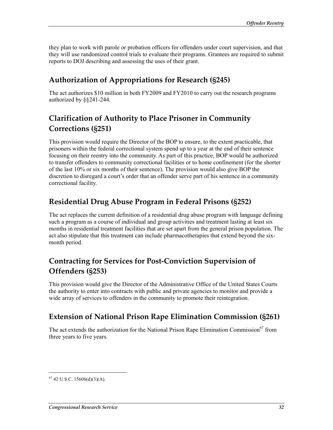they plan to work with parole or probation officers for offenders under court supervision, and that they will use randomized control trials to evaluate their programs. Grantees are required to submit reports to DOJ describing and assessing the uses of their grant.

### **Authorization of Appropriations for Research (§245)**

The act authorizes \$10 million in both FY2009 and FY2010 to carry out the research programs authorized by §§241-244.

## **Clarification of Authority to Place Prisoner in Community Corrections (§251)**

This provision would require the Director of the BOP to ensure, to the extent practicable, that prisoners within the federal correctional system spend up to a year at the end of their sentence focusing on their reentry into the community. As part of this practice, BOP would be authorized to transfer offenders to community correctional facilities or to home confinement (for the shorter of the last 10% or six months of their sentence). The provision would also give BOP the discretion to disregard a court's order that an offender serve part of his sentence in a community correctional facility.

### **Residential Drug Abuse Program in Federal Prisons (§252)**

The act replaces the current definition of a residential drug abuse program with language defining such a program as a course of individual and group activities and treatment lasting at least six months in residential treatment facilities that are set apart from the general prison population. The act also stipulate that this treatment can include pharmacotherapies that extend beyond the sixmonth period.

## **Contracting for Services for Post-Conviction Supervision of Offenders (§253)**

This provision would give the Director of the Administrative Office of the United States Courts the authority to enter into contracts with public and private agencies to monitor and provide a wide array of services to offenders in the community to promote their reintegration.

### **Extension of National Prison Rape Elimination Commission (§261)**

The act extends the authorization for the National Prison Rape Elimination Commission<sup>67</sup> from three years to five years.

 $67$  42 U.S.C. 15606(d)(3)(A).